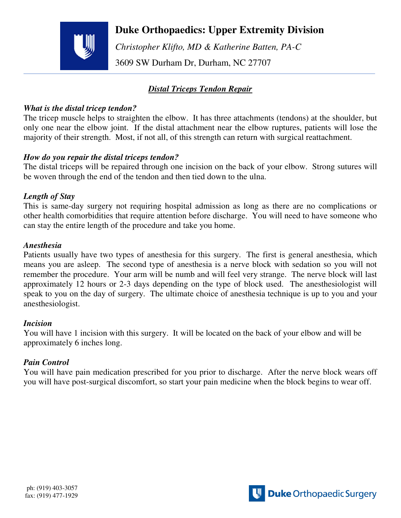

## **Duke Orthopaedics: Upper Extremity Division**

 *Christopher Klifto, MD & Katherine Batten, PA-C*  3609 SW Durham Dr, Durham, NC 27707

## *Distal Triceps Tendon Repair*

#### *What is the distal tricep tendon?*

The tricep muscle helps to straighten the elbow. It has three attachments (tendons) at the shoulder, but only one near the elbow joint. If the distal attachment near the elbow ruptures, patients will lose the majority of their strength. Most, if not all, of this strength can return with surgical reattachment.

## *How do you repair the distal triceps tendon?*

The distal triceps will be repaired through one incision on the back of your elbow. Strong sutures will be woven through the end of the tendon and then tied down to the ulna.

#### *Length of Stay*

This is same-day surgery not requiring hospital admission as long as there are no complications or other health comorbidities that require attention before discharge. You will need to have someone who can stay the entire length of the procedure and take you home.

#### *Anesthesia*

Patients usually have two types of anesthesia for this surgery. The first is general anesthesia, which means you are asleep. The second type of anesthesia is a nerve block with sedation so you will not remember the procedure. Your arm will be numb and will feel very strange. The nerve block will last approximately 12 hours or 2-3 days depending on the type of block used. The anesthesiologist will speak to you on the day of surgery. The ultimate choice of anesthesia technique is up to you and your anesthesiologist.

#### *Incision*

You will have 1 incision with this surgery. It will be located on the back of your elbow and will be approximately 6 inches long.

#### *Pain Control*

You will have pain medication prescribed for you prior to discharge. After the nerve block wears off you will have post-surgical discomfort, so start your pain medicine when the block begins to wear off.